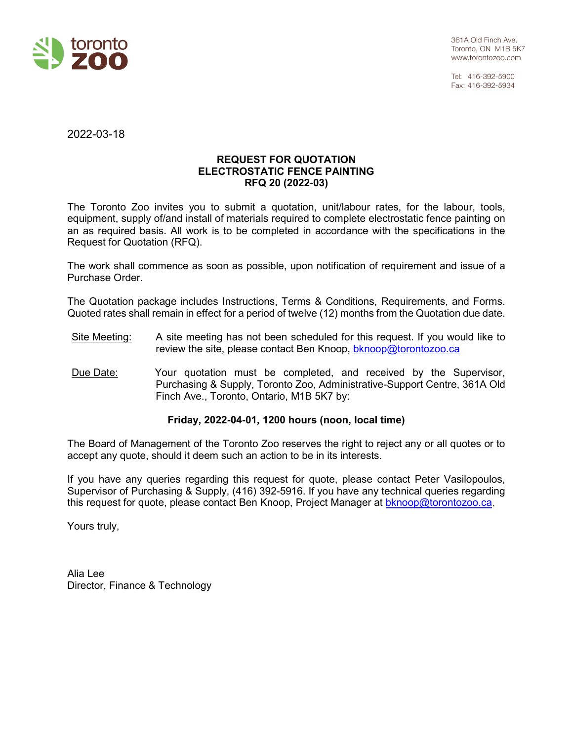

Tel: 416-392-5900 Fax: 416-392-5934

2022-03-18

# **REQUEST FOR QUOTATION ELECTROSTATIC FENCE PAINTING RFQ 20 (2022-03)**

The Toronto Zoo invites you to submit a quotation, unit/labour rates, for the labour, tools, equipment, supply of/and install of materials required to complete electrostatic fence painting on an as required basis. All work is to be completed in accordance with the specifications in the Request for Quotation (RFQ).

The work shall commence as soon as possible, upon notification of requirement and issue of a Purchase Order.

The Quotation package includes Instructions, Terms & Conditions, Requirements, and Forms. Quoted rates shall remain in effect for a period of twelve (12) months from the Quotation due date.

- Site Meeting: A site meeting has not been scheduled for this request. If you would like to review the site, please contact Ben Knoop, [bknoop@torontozoo.ca](mailto:bknoop@torontozoo.ca)
- Due Date: Your quotation must be completed, and received by the Supervisor, Purchasing & Supply, Toronto Zoo, Administrative-Support Centre, 361A Old Finch Ave., Toronto, Ontario, M1B 5K7 by:

# **Friday, 2022-04-01, 1200 hours (noon, local time)**

The Board of Management of the Toronto Zoo reserves the right to reject any or all quotes or to accept any quote, should it deem such an action to be in its interests.

If you have any queries regarding this request for quote, please contact Peter Vasilopoulos, Supervisor of Purchasing & Supply, (416) 392-5916. If you have any technical queries regarding this request for quote, please contact Ben Knoop, Project Manager at [bknoop@torontozoo.ca.](mailto:bknoop@torontozoo.ca)

Yours truly,

Alia Lee Director, Finance & Technology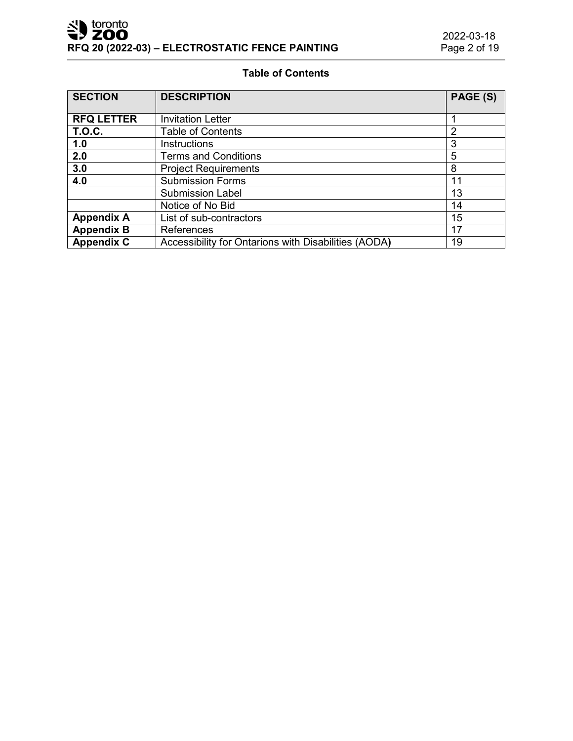# **Table of Contents**

| <b>SECTION</b>    | <b>DESCRIPTION</b>                                   | PAGE (S)       |
|-------------------|------------------------------------------------------|----------------|
| <b>RFQ LETTER</b> | <b>Invitation Letter</b>                             |                |
|                   |                                                      |                |
| <b>T.O.C.</b>     | <b>Table of Contents</b>                             | $\overline{2}$ |
| 1.0               | <b>Instructions</b>                                  | 3              |
| 2.0               | <b>Terms and Conditions</b>                          | 5              |
| 3.0               | <b>Project Requirements</b>                          | 8              |
| 4.0               | <b>Submission Forms</b>                              | 11             |
|                   | <b>Submission Label</b>                              | 13             |
|                   | Notice of No Bid                                     | 14             |
| <b>Appendix A</b> | List of sub-contractors                              | 15             |
| <b>Appendix B</b> | <b>References</b>                                    | 17             |
| <b>Appendix C</b> | Accessibility for Ontarions with Disabilities (AODA) | 19             |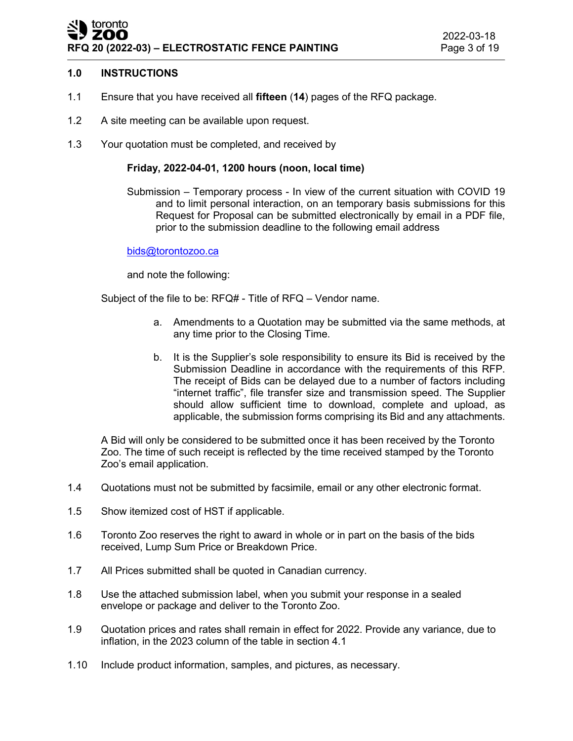# toronto ZOO **RFQ 20 (2022-03) – ELECTROSTATIC FENCE PAINTING**

# **1.0 INSTRUCTIONS**

- 1.1 Ensure that you have received all **fifteen** (**14**) pages of the RFQ package.
- 1.2 A site meeting can be available upon request.
- 1.3 Your quotation must be completed, and received by

# **Friday, 2022-04-01, 1200 hours (noon, local time)**

Submission – Temporary process - In view of the current situation with COVID 19 and to limit personal interaction, on an temporary basis submissions for this Request for Proposal can be submitted electronically by email in a PDF file, prior to the submission deadline to the following email address

#### [bids@torontozoo.ca](mailto:bids@torontozoo.ca)

and note the following:

Subject of the file to be: RFQ# - Title of RFQ – Vendor name.

- a. Amendments to a Quotation may be submitted via the same methods, at any time prior to the Closing Time.
- b. It is the Supplier's sole responsibility to ensure its Bid is received by the Submission Deadline in accordance with the requirements of this RFP. The receipt of Bids can be delayed due to a number of factors including "internet traffic", file transfer size and transmission speed. The Supplier should allow sufficient time to download, complete and upload, as applicable, the submission forms comprising its Bid and any attachments.

A Bid will only be considered to be submitted once it has been received by the Toronto Zoo. The time of such receipt is reflected by the time received stamped by the Toronto Zoo's email application.

- 1.4 Quotations must not be submitted by facsimile, email or any other electronic format.
- 1.5 Show itemized cost of HST if applicable.
- 1.6 Toronto Zoo reserves the right to award in whole or in part on the basis of the bids received, Lump Sum Price or Breakdown Price.
- 1.7 All Prices submitted shall be quoted in Canadian currency.
- 1.8 Use the attached submission label, when you submit your response in a sealed envelope or package and deliver to the Toronto Zoo.
- 1.9 Quotation prices and rates shall remain in effect for 2022. Provide any variance, due to inflation, in the 2023 column of the table in section 4.1
- 1.10 Include product information, samples, and pictures, as necessary.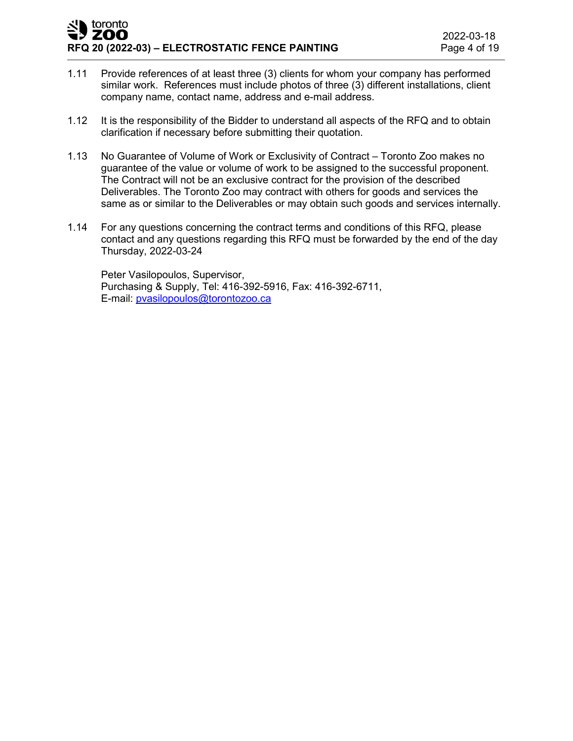- 1.11 Provide references of at least three (3) clients for whom your company has performed similar work. References must include photos of three (3) different installations, client company name, contact name, address and e-mail address.
- 1.12 It is the responsibility of the Bidder to understand all aspects of the RFQ and to obtain clarification if necessary before submitting their quotation.
- 1.13 No Guarantee of Volume of Work or Exclusivity of Contract Toronto Zoo makes no guarantee of the value or volume of work to be assigned to the successful proponent. The Contract will not be an exclusive contract for the provision of the described Deliverables. The Toronto Zoo may contract with others for goods and services the same as or similar to the Deliverables or may obtain such goods and services internally.
- 1.14 For any questions concerning the contract terms and conditions of this RFQ, please contact and any questions regarding this RFQ must be forwarded by the end of the day Thursday, 2022-03-24

Peter Vasilopoulos, Supervisor, Purchasing & Supply, Tel: 416-392-5916, Fax: 416-392-6711, E-mail: [pvasilopoulos@torontozoo.ca](mailto:pvasilopoulos@torontozoo.ca)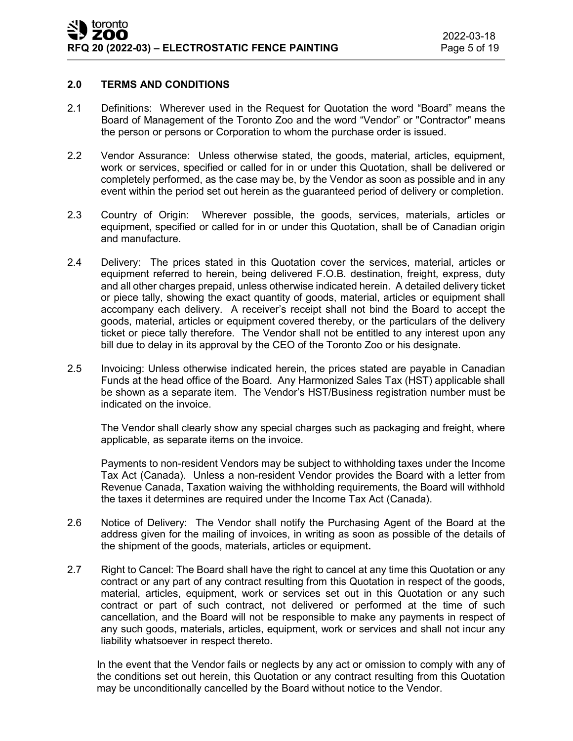# **2.0 TERMS AND CONDITIONS**

- 2.1 Definitions: Wherever used in the Request for Quotation the word "Board" means the Board of Management of the Toronto Zoo and the word "Vendor" or "Contractor" means the person or persons or Corporation to whom the purchase order is issued.
- 2.2 Vendor Assurance: Unless otherwise stated, the goods, material, articles, equipment, work or services, specified or called for in or under this Quotation, shall be delivered or completely performed, as the case may be, by the Vendor as soon as possible and in any event within the period set out herein as the guaranteed period of delivery or completion.
- 2.3 Country of Origin: Wherever possible, the goods, services, materials, articles or equipment, specified or called for in or under this Quotation, shall be of Canadian origin and manufacture.
- 2.4 Delivery: The prices stated in this Quotation cover the services, material, articles or equipment referred to herein, being delivered F.O.B. destination, freight, express, duty and all other charges prepaid, unless otherwise indicated herein. A detailed delivery ticket or piece tally, showing the exact quantity of goods, material, articles or equipment shall accompany each delivery. A receiver's receipt shall not bind the Board to accept the goods, material, articles or equipment covered thereby, or the particulars of the delivery ticket or piece tally therefore. The Vendor shall not be entitled to any interest upon any bill due to delay in its approval by the CEO of the Toronto Zoo or his designate.
- 2.5 Invoicing: Unless otherwise indicated herein, the prices stated are payable in Canadian Funds at the head office of the Board. Any Harmonized Sales Tax (HST) applicable shall be shown as a separate item. The Vendor's HST/Business registration number must be indicated on the invoice.

The Vendor shall clearly show any special charges such as packaging and freight, where applicable, as separate items on the invoice.

Payments to non-resident Vendors may be subject to withholding taxes under the Income Tax Act (Canada). Unless a non-resident Vendor provides the Board with a letter from Revenue Canada, Taxation waiving the withholding requirements, the Board will withhold the taxes it determines are required under the Income Tax Act (Canada).

- 2.6 Notice of Delivery: The Vendor shall notify the Purchasing Agent of the Board at the address given for the mailing of invoices, in writing as soon as possible of the details of the shipment of the goods, materials, articles or equipment**.**
- 2.7 Right to Cancel: The Board shall have the right to cancel at any time this Quotation or any contract or any part of any contract resulting from this Quotation in respect of the goods, material, articles, equipment, work or services set out in this Quotation or any such contract or part of such contract, not delivered or performed at the time of such cancellation, and the Board will not be responsible to make any payments in respect of any such goods, materials, articles, equipment, work or services and shall not incur any liability whatsoever in respect thereto.

In the event that the Vendor fails or neglects by any act or omission to comply with any of the conditions set out herein, this Quotation or any contract resulting from this Quotation may be unconditionally cancelled by the Board without notice to the Vendor.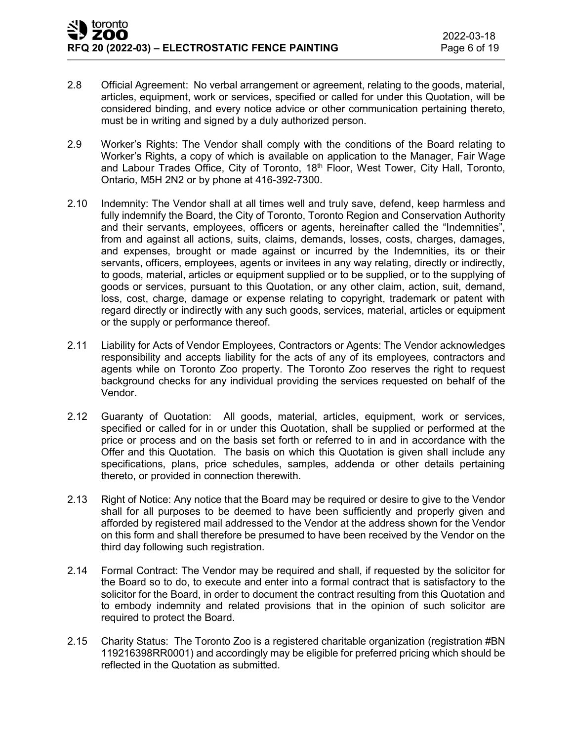- 2.8 Official Agreement: No verbal arrangement or agreement, relating to the goods, material, articles, equipment, work or services, specified or called for under this Quotation, will be considered binding, and every notice advice or other communication pertaining thereto, must be in writing and signed by a duly authorized person.
- 2.9 Worker's Rights: The Vendor shall comply with the conditions of the Board relating to Worker's Rights, a copy of which is available on application to the Manager, Fair Wage and Labour Trades Office, City of Toronto, 18<sup>th</sup> Floor, West Tower, City Hall, Toronto, Ontario, M5H 2N2 or by phone at 416-392-7300.
- 2.10 Indemnity: The Vendor shall at all times well and truly save, defend, keep harmless and fully indemnify the Board, the City of Toronto, Toronto Region and Conservation Authority and their servants, employees, officers or agents, hereinafter called the "Indemnities", from and against all actions, suits, claims, demands, losses, costs, charges, damages, and expenses, brought or made against or incurred by the Indemnities, its or their servants, officers, employees, agents or invitees in any way relating, directly or indirectly, to goods, material, articles or equipment supplied or to be supplied, or to the supplying of goods or services, pursuant to this Quotation, or any other claim, action, suit, demand, loss, cost, charge, damage or expense relating to copyright, trademark or patent with regard directly or indirectly with any such goods, services, material, articles or equipment or the supply or performance thereof.
- 2.11 Liability for Acts of Vendor Employees, Contractors or Agents: The Vendor acknowledges responsibility and accepts liability for the acts of any of its employees, contractors and agents while on Toronto Zoo property. The Toronto Zoo reserves the right to request background checks for any individual providing the services requested on behalf of the Vendor.
- 2.12 Guaranty of Quotation: All goods, material, articles, equipment, work or services, specified or called for in or under this Quotation, shall be supplied or performed at the price or process and on the basis set forth or referred to in and in accordance with the Offer and this Quotation. The basis on which this Quotation is given shall include any specifications, plans, price schedules, samples, addenda or other details pertaining thereto, or provided in connection therewith.
- 2.13 Right of Notice: Any notice that the Board may be required or desire to give to the Vendor shall for all purposes to be deemed to have been sufficiently and properly given and afforded by registered mail addressed to the Vendor at the address shown for the Vendor on this form and shall therefore be presumed to have been received by the Vendor on the third day following such registration.
- 2.14 Formal Contract: The Vendor may be required and shall, if requested by the solicitor for the Board so to do, to execute and enter into a formal contract that is satisfactory to the solicitor for the Board, in order to document the contract resulting from this Quotation and to embody indemnity and related provisions that in the opinion of such solicitor are required to protect the Board.
- 2.15 Charity Status: The Toronto Zoo is a registered charitable organization (registration #BN 119216398RR0001) and accordingly may be eligible for preferred pricing which should be reflected in the Quotation as submitted.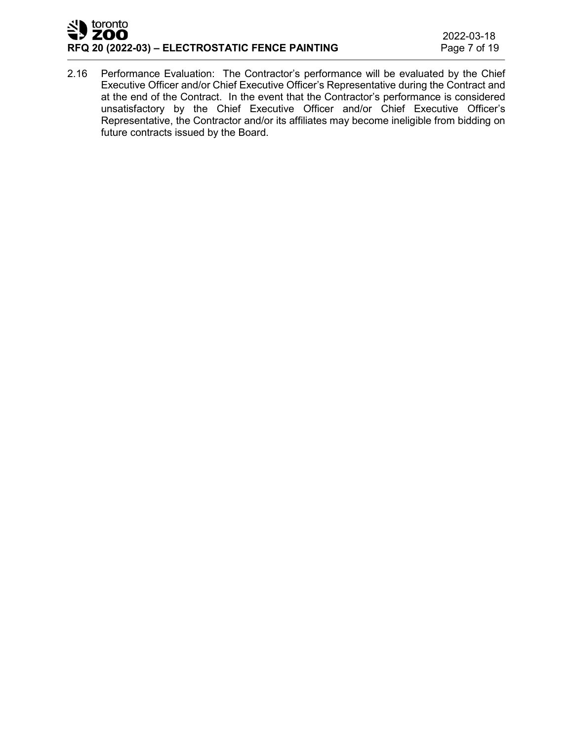# toronto 7 ZOO **RFQ 20 (2022-03) – ELECTROSTATIC FENCE PAINTING**

2.16 Performance Evaluation: The Contractor's performance will be evaluated by the Chief Executive Officer and/or Chief Executive Officer's Representative during the Contract and at the end of the Contract. In the event that the Contractor's performance is considered unsatisfactory by the Chief Executive Officer and/or Chief Executive Officer's Representative, the Contractor and/or its affiliates may become ineligible from bidding on future contracts issued by the Board.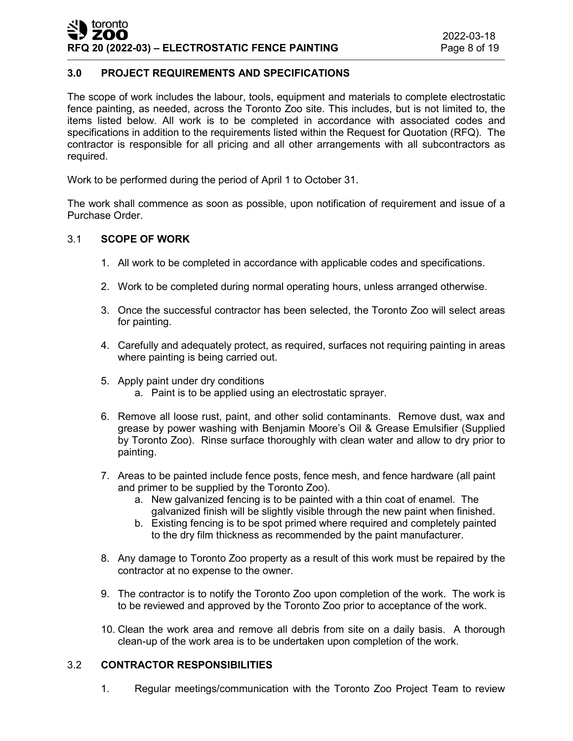# **3.0 PROJECT REQUIREMENTS AND SPECIFICATIONS**

The scope of work includes the labour, tools, equipment and materials to complete electrostatic fence painting, as needed, across the Toronto Zoo site. This includes, but is not limited to, the items listed below. All work is to be completed in accordance with associated codes and specifications in addition to the requirements listed within the Request for Quotation (RFQ). The contractor is responsible for all pricing and all other arrangements with all subcontractors as required.

Work to be performed during the period of April 1 to October 31.

The work shall commence as soon as possible, upon notification of requirement and issue of a Purchase Order.

# 3.1 **SCOPE OF WORK**

- 1. All work to be completed in accordance with applicable codes and specifications.
- 2. Work to be completed during normal operating hours, unless arranged otherwise.
- 3. Once the successful contractor has been selected, the Toronto Zoo will select areas for painting.
- 4. Carefully and adequately protect, as required, surfaces not requiring painting in areas where painting is being carried out.
- 5. Apply paint under dry conditions
	- a. Paint is to be applied using an electrostatic sprayer.
- 6. Remove all loose rust, paint, and other solid contaminants. Remove dust, wax and grease by power washing with Benjamin Moore's Oil & Grease Emulsifier (Supplied by Toronto Zoo). Rinse surface thoroughly with clean water and allow to dry prior to painting.
- 7. Areas to be painted include fence posts, fence mesh, and fence hardware (all paint and primer to be supplied by the Toronto Zoo).
	- a. New galvanized fencing is to be painted with a thin coat of enamel. The galvanized finish will be slightly visible through the new paint when finished.
	- b. Existing fencing is to be spot primed where required and completely painted to the dry film thickness as recommended by the paint manufacturer.
- 8. Any damage to Toronto Zoo property as a result of this work must be repaired by the contractor at no expense to the owner.
- 9. The contractor is to notify the Toronto Zoo upon completion of the work. The work is to be reviewed and approved by the Toronto Zoo prior to acceptance of the work.
- 10. Clean the work area and remove all debris from site on a daily basis. A thorough clean-up of the work area is to be undertaken upon completion of the work.

# 3.2 **CONTRACTOR RESPONSIBILITIES**

1. Regular meetings/communication with the Toronto Zoo Project Team to review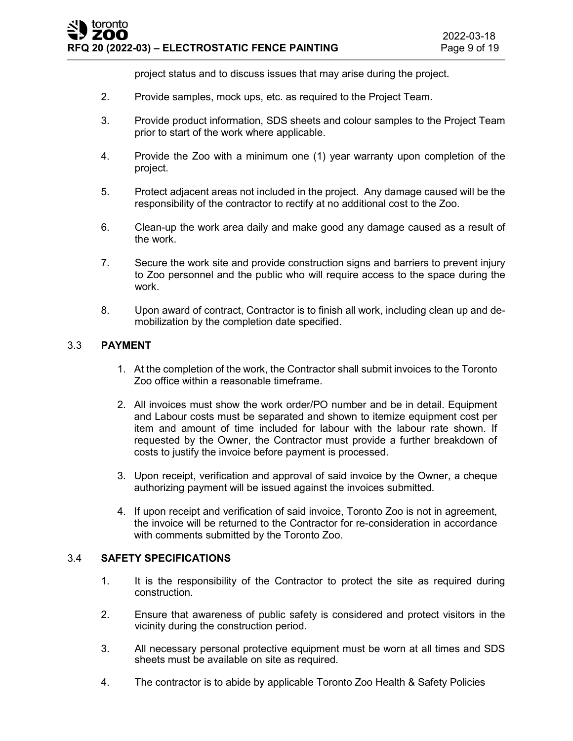project status and to discuss issues that may arise during the project.

- 2. Provide samples, mock ups, etc. as required to the Project Team.
- 3. Provide product information, SDS sheets and colour samples to the Project Team prior to start of the work where applicable.
- 4. Provide the Zoo with a minimum one (1) year warranty upon completion of the project.
- 5. Protect adjacent areas not included in the project. Any damage caused will be the responsibility of the contractor to rectify at no additional cost to the Zoo.
- 6. Clean-up the work area daily and make good any damage caused as a result of the work.
- 7. Secure the work site and provide construction signs and barriers to prevent injury to Zoo personnel and the public who will require access to the space during the work.
- 8. Upon award of contract, Contractor is to finish all work, including clean up and demobilization by the completion date specified.

# 3.3 **PAYMENT**

- 1. At the completion of the work, the Contractor shall submit invoices to the Toronto Zoo office within a reasonable timeframe.
- 2. All invoices must show the work order/PO number and be in detail. Equipment and Labour costs must be separated and shown to itemize equipment cost per item and amount of time included for labour with the labour rate shown. If requested by the Owner, the Contractor must provide a further breakdown of costs to justify the invoice before payment is processed.
- 3. Upon receipt, verification and approval of said invoice by the Owner, a cheque authorizing payment will be issued against the invoices submitted.
- 4. If upon receipt and verification of said invoice, Toronto Zoo is not in agreement, the invoice will be returned to the Contractor for re-consideration in accordance with comments submitted by the Toronto Zoo.

#### 3.4 **SAFETY SPECIFICATIONS**

- 1. It is the responsibility of the Contractor to protect the site as required during construction.
- 2. Ensure that awareness of public safety is considered and protect visitors in the vicinity during the construction period.
- 3. All necessary personal protective equipment must be worn at all times and SDS sheets must be available on site as required.
- 4. The contractor is to abide by applicable Toronto Zoo Health & Safety Policies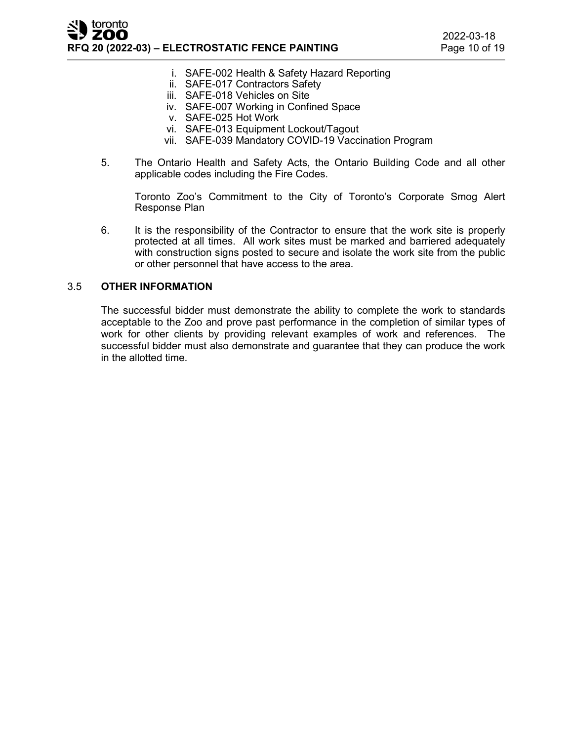- i. SAFE-002 Health & Safety Hazard Reporting
- ii. SAFE-017 Contractors Safety
- iii. SAFE-018 Vehicles on Site
- iv. SAFE-007 Working in Confined Space
- v. SAFE-025 Hot Work
- vi. SAFE-013 Equipment Lockout/Tagout
- vii. SAFE-039 Mandatory COVID-19 Vaccination Program
- 5. The Ontario Health and Safety Acts, the Ontario Building Code and all other applicable codes including the Fire Codes.

Toronto Zoo's Commitment to the City of Toronto's Corporate Smog Alert Response Plan

6. It is the responsibility of the Contractor to ensure that the work site is properly protected at all times. All work sites must be marked and barriered adequately with construction signs posted to secure and isolate the work site from the public or other personnel that have access to the area.

#### 3.5 **OTHER INFORMATION**

The successful bidder must demonstrate the ability to complete the work to standards acceptable to the Zoo and prove past performance in the completion of similar types of work for other clients by providing relevant examples of work and references. The successful bidder must also demonstrate and guarantee that they can produce the work in the allotted time.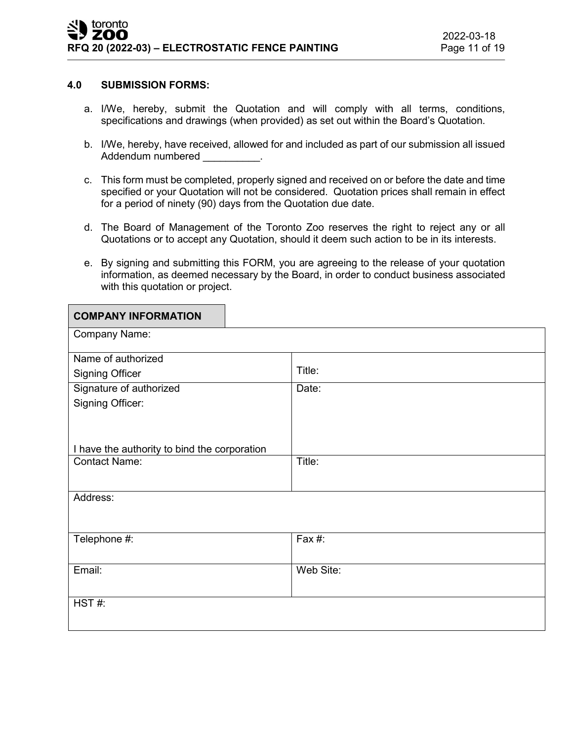#### **4.0 SUBMISSION FORMS:**

- a. I/We, hereby, submit the Quotation and will comply with all terms, conditions, specifications and drawings (when provided) as set out within the Board's Quotation.
- b. I/We, hereby, have received, allowed for and included as part of our submission all issued Addendum numbered example and the set of the set of the set of the set of the set of the set of the set of the
- c. This form must be completed, properly signed and received on or before the date and time specified or your Quotation will not be considered. Quotation prices shall remain in effect for a period of ninety (90) days from the Quotation due date.
- d. The Board of Management of the Toronto Zoo reserves the right to reject any or all Quotations or to accept any Quotation, should it deem such action to be in its interests.
- e. By signing and submitting this FORM, you are agreeing to the release of your quotation information, as deemed necessary by the Board, in order to conduct business associated with this quotation or project.

| <b>COMPANY INFORMATION</b>                   |           |
|----------------------------------------------|-----------|
| Company Name:                                |           |
| Name of authorized                           |           |
| <b>Signing Officer</b>                       | Title:    |
| Signature of authorized                      | Date:     |
| Signing Officer:                             |           |
|                                              |           |
|                                              |           |
| I have the authority to bind the corporation |           |
| <b>Contact Name:</b>                         | Title:    |
|                                              |           |
| Address:                                     |           |
|                                              |           |
|                                              |           |
| Telephone #:                                 | Fax #:    |
|                                              |           |
| Email:                                       | Web Site: |
|                                              |           |
| HST#:                                        |           |
|                                              |           |
|                                              |           |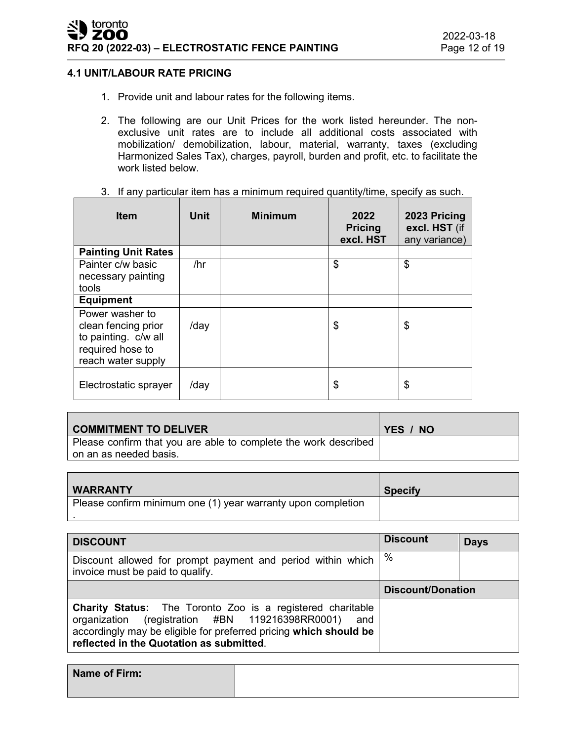# **4.1 UNIT/LABOUR RATE PRICING**

- 1. Provide unit and labour rates for the following items.
- 2. The following are our Unit Prices for the work listed hereunder. The nonexclusive unit rates are to include all additional costs associated with mobilization/ demobilization, labour, material, warranty, taxes (excluding Harmonized Sales Tax), charges, payroll, burden and profit, etc. to facilitate the work listed below.

|  | 3. If any particular item has a minimum required quantity/time, specify as such. |  |  |  |  |
|--|----------------------------------------------------------------------------------|--|--|--|--|
|--|----------------------------------------------------------------------------------|--|--|--|--|

| <b>Item</b>                                                                                              | Unit | <b>Minimum</b> | 2022<br><b>Pricing</b><br>excl. HST | 2023 Pricing<br>excl. HST (if<br>any variance) |
|----------------------------------------------------------------------------------------------------------|------|----------------|-------------------------------------|------------------------------------------------|
| <b>Painting Unit Rates</b>                                                                               |      |                |                                     |                                                |
| Painter c/w basic                                                                                        | /hr  |                | \$                                  | \$                                             |
| necessary painting                                                                                       |      |                |                                     |                                                |
| tools                                                                                                    |      |                |                                     |                                                |
| <b>Equipment</b>                                                                                         |      |                |                                     |                                                |
| Power washer to<br>clean fencing prior<br>to painting. c/w all<br>required hose to<br>reach water supply | /day |                | \$                                  | \$                                             |
| Electrostatic sprayer                                                                                    | /day |                | \$                                  | \$                                             |

| <b>COMMITMENT TO DELIVER</b>                                    | YES / NO |
|-----------------------------------------------------------------|----------|
| Please confirm that you are able to complete the work described |          |
| on an as needed basis.                                          |          |

| <b>WARRANTY</b>                                              | <b>Specify</b> |
|--------------------------------------------------------------|----------------|
| Please confirm minimum one (1) year warranty upon completion |                |

| <b>DISCOUNT</b>                                                                                                                                                                                                                                 | <b>Discount</b>          | <b>Days</b> |
|-------------------------------------------------------------------------------------------------------------------------------------------------------------------------------------------------------------------------------------------------|--------------------------|-------------|
| Discount allowed for prompt payment and period within which<br>invoice must be paid to qualify.                                                                                                                                                 | %                        |             |
|                                                                                                                                                                                                                                                 | <b>Discount/Donation</b> |             |
| <b>Charity Status:</b> The Toronto Zoo is a registered charitable<br>(registration #BN 119216398RR0001)<br>organization<br>and<br>accordingly may be eligible for preferred pricing which should be<br>reflected in the Quotation as submitted. |                          |             |

| Name of Firm: |  |
|---------------|--|
|               |  |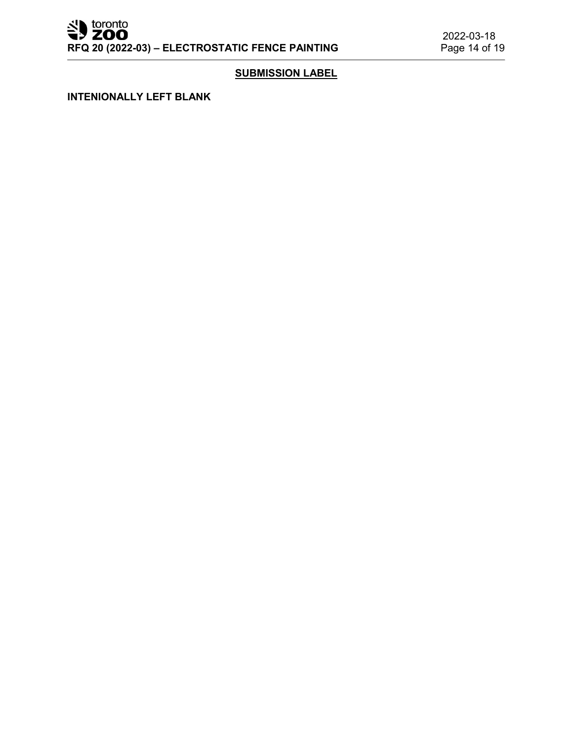Superior to the set of the set of the set of the set of the set of the set of the set of the set of the set of the set of the set of the set of the set of the set of the set of the set of the set of the set of the set of t **RFQ 20 (2022-03) – ELECTROSTATIC FENCE PAINTING** 

# **SUBMISSION LABEL**

**INTENIONALLY LEFT BLANK**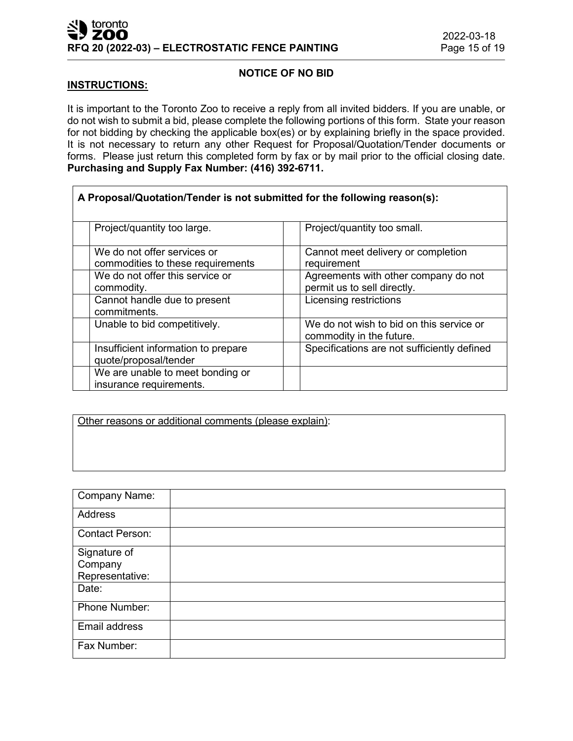# **NOTICE OF NO BID**

#### **INSTRUCTIONS:**

It is important to the Toronto Zoo to receive a reply from all invited bidders. If you are unable, or do not wish to submit a bid, please complete the following portions of this form. State your reason for not bidding by checking the applicable box(es) or by explaining briefly in the space provided. It is not necessary to return any other Request for Proposal/Quotation/Tender documents or forms. Please just return this completed form by fax or by mail prior to the official closing date. **Purchasing and Supply Fax Number: (416) 392-6711.**

| A Proposal/Quotation/Tender is not submitted for the following reason(s): |                                                                      |
|---------------------------------------------------------------------------|----------------------------------------------------------------------|
| Project/quantity too large.                                               | Project/quantity too small.                                          |
| We do not offer services or<br>commodities to these requirements          | Cannot meet delivery or completion<br>requirement                    |
| We do not offer this service or<br>commodity.                             | Agreements with other company do not<br>permit us to sell directly.  |
| Cannot handle due to present<br>commitments.                              | Licensing restrictions                                               |
| Unable to bid competitively.                                              | We do not wish to bid on this service or<br>commodity in the future. |
| Insufficient information to prepare<br>quote/proposal/tender              | Specifications are not sufficiently defined                          |
| We are unable to meet bonding or<br>insurance requirements.               |                                                                      |

Other reasons or additional comments (please explain):

| <b>Company Name:</b>                       |  |
|--------------------------------------------|--|
| Address                                    |  |
| <b>Contact Person:</b>                     |  |
| Signature of<br>Company<br>Representative: |  |
| Date:                                      |  |
| Phone Number:                              |  |
| Email address                              |  |
| Fax Number:                                |  |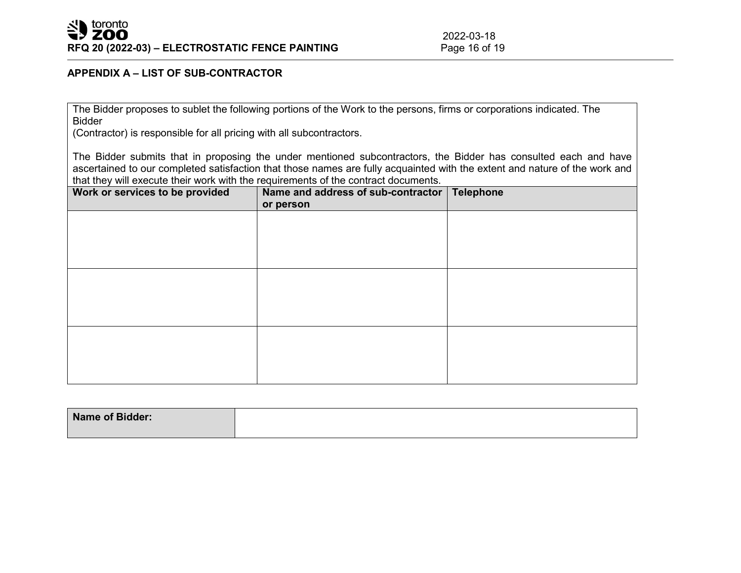# **APPENDIX A – LIST OF SUB-CONTRACTOR**

The Bidder proposes to sublet the following portions of the Work to the persons, firms or corporations indicated. The Bidder

(Contractor) is responsible for all pricing with all subcontractors.

The Bidder submits that in proposing the under mentioned subcontractors, the Bidder has consulted each and have ascertained to our completed satisfaction that those names are fully acquainted with the extent and nature of the work and that they will execute their work with the requirements of the contract documents.

| Work or services to be provided | Name and address of sub-contractor<br>or person | <b>Telephone</b> |
|---------------------------------|-------------------------------------------------|------------------|
|                                 |                                                 |                  |
|                                 |                                                 |                  |
|                                 |                                                 |                  |
|                                 |                                                 |                  |
|                                 |                                                 |                  |
|                                 |                                                 |                  |

| Name of Bidder: |  |
|-----------------|--|
|                 |  |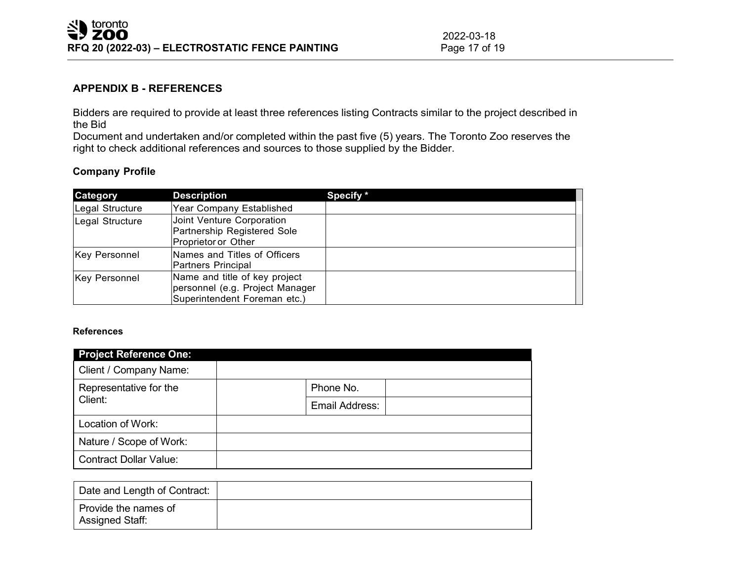2022-03-18<br>Page 17 of 19

# **APPENDIX B - REFERENCES**

Bidders are required to provide at least three references listing Contracts similar to the project described in the Bid

Document and undertaken and/or completed within the past five (5) years. The Toronto Zoo reserves the right to check additional references and sources to those supplied by the Bidder.

## **Company Profile**

| Category             | <b>Description</b>                                                                               | Specify * |
|----------------------|--------------------------------------------------------------------------------------------------|-----------|
| Legal Structure      | Year Company Established                                                                         |           |
| Legal Structure      | Joint Venture Corporation<br>Partnership Registered Sole<br>Proprietor or Other                  |           |
| <b>Key Personnel</b> | Names and Titles of Officers<br><b>Partners Principal</b>                                        |           |
| Key Personnel        | Name and title of key project<br>personnel (e.g. Project Manager<br>Superintendent Foreman etc.) |           |

#### **References**

| <b>Project Reference One:</b> |                |  |  |  |
|-------------------------------|----------------|--|--|--|
| Client / Company Name:        |                |  |  |  |
| Representative for the        | Phone No.      |  |  |  |
| Client:                       | Email Address: |  |  |  |
| Location of Work:             |                |  |  |  |
| Nature / Scope of Work:       |                |  |  |  |
| <b>Contract Dollar Value:</b> |                |  |  |  |

| Date and Length of Contract:            |  |
|-----------------------------------------|--|
| Provide the names of<br>Assigned Staff: |  |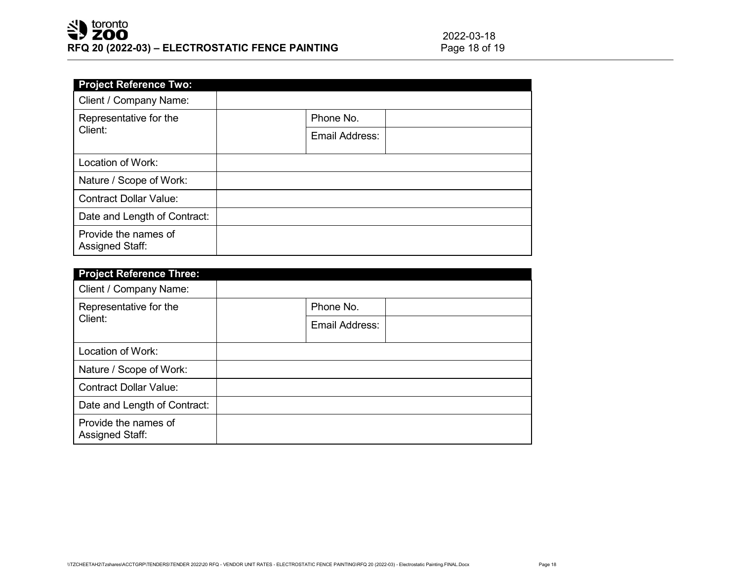| <b>Project Reference Two:</b>                  |                |  |
|------------------------------------------------|----------------|--|
| Client / Company Name:                         |                |  |
| Representative for the                         | Phone No.      |  |
| Client:                                        | Email Address: |  |
| Location of Work:                              |                |  |
| Nature / Scope of Work:                        |                |  |
| <b>Contract Dollar Value:</b>                  |                |  |
| Date and Length of Contract:                   |                |  |
| Provide the names of<br><b>Assigned Staff:</b> |                |  |

| <b>Project Reference Three:</b>                |                |  |
|------------------------------------------------|----------------|--|
| Client / Company Name:                         |                |  |
| Representative for the                         | Phone No.      |  |
| Client:                                        | Email Address: |  |
| Location of Work:                              |                |  |
| Nature / Scope of Work:                        |                |  |
| <b>Contract Dollar Value:</b>                  |                |  |
| Date and Length of Contract:                   |                |  |
| Provide the names of<br><b>Assigned Staff:</b> |                |  |